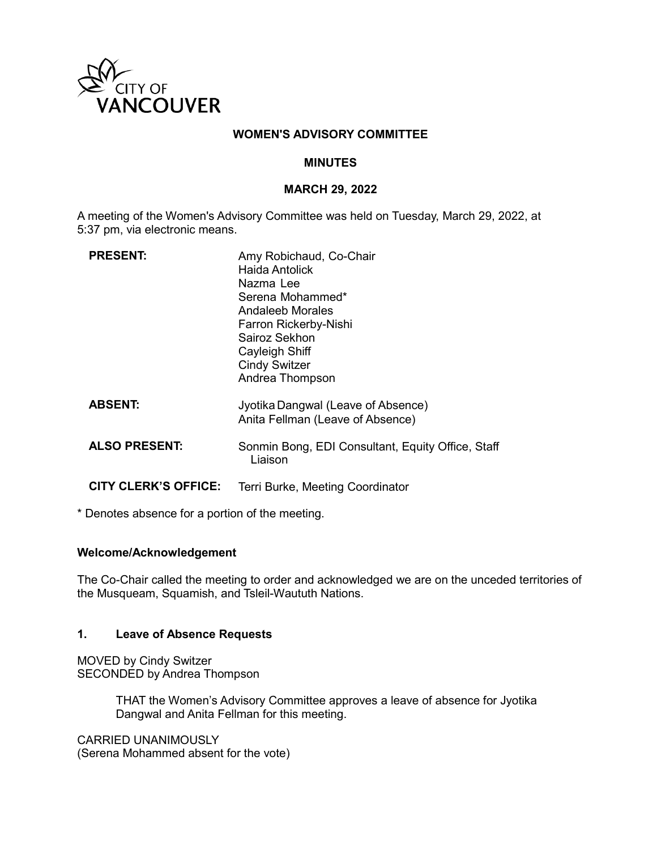

#### **WOMEN'S ADVISORY COMMITTEE**

#### **MINUTES**

#### **MARCH 29, 2022**

A meeting of the Women's Advisory Committee was held on Tuesday, March 29, 2022, at 5:37 pm, via electronic means.

| <b>PRESENT:</b>             | Amy Robichaud, Co-Chair<br>Haida Antolick<br>Nazma Lee<br>Serena Mohammed*<br>Andaleeb Morales<br>Farron Rickerby-Nishi<br>Sairoz Sekhon<br>Cayleigh Shiff<br><b>Cindy Switzer</b><br>Andrea Thompson |
|-----------------------------|-------------------------------------------------------------------------------------------------------------------------------------------------------------------------------------------------------|
| <b>ABSENT:</b>              | Jyotika Dangwal (Leave of Absence)<br>Anita Fellman (Leave of Absence)                                                                                                                                |
| <b>ALSO PRESENT:</b>        | Sonmin Bong, EDI Consultant, Equity Office, Staff<br>Liaison                                                                                                                                          |
| <b>CITY CLERK'S OFFICE:</b> | Terri Burke, Meeting Coordinator                                                                                                                                                                      |

\* Denotes absence for a portion of the meeting.

#### **Welcome/Acknowledgement**

The Co-Chair called the meeting to order and acknowledged we are on the unceded territories of the Musqueam, Squamish, and Tsleil-Waututh Nations.

#### **1. Leave of Absence Requests**

MOVED by Cindy Switzer SECONDED by Andrea Thompson

> THAT the Women's Advisory Committee approves a leave of absence for Jyotika Dangwal and Anita Fellman for this meeting.

CARRIED UNANIMOUSLY (Serena Mohammed absent for the vote)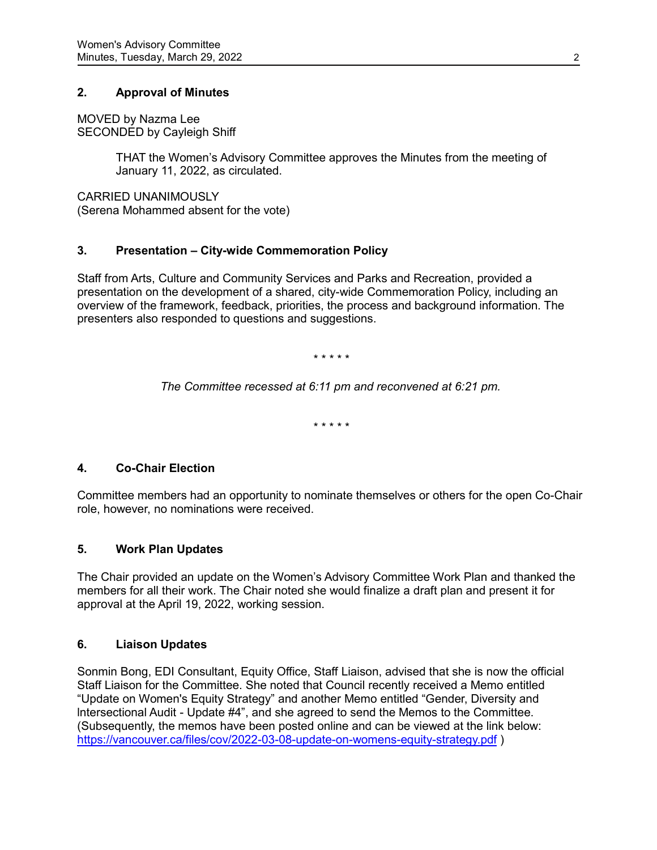# **2. Approval of Minutes**

MOVED by Nazma Lee SECONDED by Cayleigh Shiff

> THAT the Women's Advisory Committee approves the Minutes from the meeting of January 11, 2022, as circulated.

CARRIED UNANIMOUSLY (Serena Mohammed absent for the vote)

## **3. Presentation – City-wide Commemoration Policy**

Staff from Arts, Culture and Community Services and Parks and Recreation, provided a presentation on the development of a shared, city-wide Commemoration Policy, including an overview of the framework, feedback, priorities, the process and background information. The presenters also responded to questions and suggestions.

*\* \* \* \* \**

*The Committee recessed at 6:11 pm and reconvened at 6:21 pm.*

*\* \* \* \* \**

## **4. Co-Chair Election**

Committee members had an opportunity to nominate themselves or others for the open Co-Chair role, however, no nominations were received.

## **5. Work Plan Updates**

The Chair provided an update on the Women's Advisory Committee Work Plan and thanked the members for all their work. The Chair noted she would finalize a draft plan and present it for approval at the April 19, 2022, working session.

## **6. Liaison Updates**

Sonmin Bong, EDI Consultant, Equity Office, Staff Liaison, advised that she is now the official Staff Liaison for the Committee. She noted that Council recently received a Memo entitled "Update on Women's Equity Strategy" and another Memo entitled "Gender, Diversity and lntersectional Audit - Update #4", and she agreed to send the Memos to the Committee. (Subsequently, the memos have been posted online and can be viewed at the link below: <https://vancouver.ca/files/cov/2022-03-08-update-on-womens-equity-strategy.pdf> )